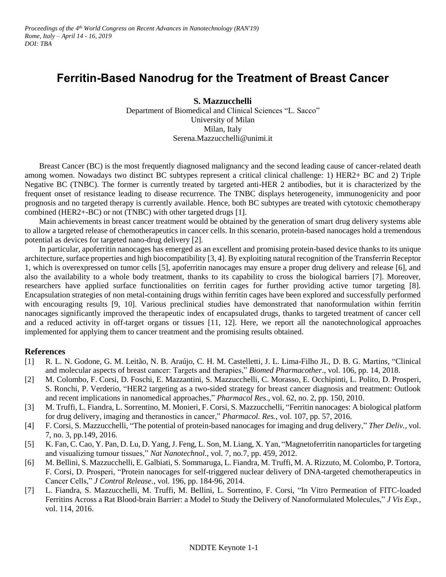## **Ferritin-Based Nanodrug for the Treatment of Breast Cancer**

**S. Mazzucchelli**

Department of Biomedical and Clinical Sciences "L. Sacco" University of Milan Milan, Italy Serena.Mazzucchelli@unimi.it

Breast Cancer (BC) is the most frequently diagnosed malignancy and the second leading cause of cancer-related death among women. Nowadays two distinct BC subtypes represent a critical clinical challenge: 1) HER2+ BC and 2) Triple Negative BC (TNBC). The former is currently treated by targeted anti-HER 2 antibodies, but it is characterized by the frequent onset of resistance leading to disease recurrence. The TNBC displays heterogeneity, immunogenicity and poor prognosis and no targeted therapy is currently available. Hence, both BC subtypes are treated with cytotoxic chemotherapy combined (HER2+-BC) or not (TNBC) with other targeted drugs [1].

Main achievements in breast cancer treatment would be obtained by the generation of smart drug delivery systems able to allow a targeted release of chemotherapeutics in cancer cells. In this scenario, protein-based nanocages hold a tremendous potential as devices for targeted nano-drug delivery [2].

In particular, apoferritin nanocages has emerged as an excellent and promising protein-based device thanks to its unique architecture, surface properties and high biocompatibility [3, 4]. By exploiting natural recognition of the Transferrin Receptor 1, which is overexpressed on tumor cells [5], apoferritin nanocages may ensure a proper drug delivery and release [6], and also the availability to a whole body treatment, thanks to its capability to cross the biological barriers [7]. Moreover, researchers have applied surface functionalities on ferritin cages for further providing active tumor targeting [8]. Encapsulation strategies of non metal-containing drugs within ferritin cages have been explored and successfully performed with encouraging results [9, 10]. Various preclinical studies have demonstrated that nanoformulation within ferritin nanocages significantly improved the therapeutic index of encapsulated drugs, thanks to targeted treatment of cancer cell and a reduced activity in off-target organs or tissues [11, 12]. Here, we report all the nanotechnological approaches implemented for applying them to cancer treatment and the promising results obtained.

## **References**

- [1] R. L. N. Godone, G. M. Leitão, N. B. Araújo, C. H. M. Castelletti, J. L. Lima-Filho JL, D. B. G. Martins, "Clinical and molecular aspects of breast cancer: Targets and therapies," *Biomed Pharmacother*., vol. 106, pp. 14, 2018.
- [2] M. Colombo, F. Corsi, D. Foschi, E. Mazzantini, S. Mazzucchelli, C. Morasso, E. Occhipinti, L. Polito, D. Prosperi, S. Ronchi, P. Verderio, "HER2 targeting as a two-sided strategy for breast cancer diagnosis and treatment: Outlook and recent implications in nanomedical approaches," *Pharmacol Res*., vol. 62, no. 2, pp. 150, 2010.
- [3] M. Truffi, L. Fiandra, L. Sorrentino, M. Monieri, F. Corsi, S. Mazzucchelli, "Ferritin nanocages: A biological platform for drug delivery, imaging and theranostics in cancer," *Pharmacol. Res.*, vol. 107, pp. 57, 2016.
- [4] F. Corsi, S. Mazzucchelli, "The potential of protein-based nanocages for imaging and drug delivery," *Ther Deliv.*, vol. 7, no. 3, pp.149, 2016.
- [5] K. Fan, C. Cao, Y. Pan, D. Lu, D. Yang,J. Feng, L. Son, M. Liang, X. Yan, "Magnetoferritin nanoparticles for targeting and visualizing tumour tissues," *Nat Nanotechnol.*, vol. 7, no.7, pp. 459, 2012.
- [6] M. Bellini, S. Mazzucchelli, E. Galbiati, S. Sommaruga, L. Fiandra, M. Truffi, M. A. Rizzuto, M. Colombo, P. Tortora, F. Corsi, D. Prosperi, "Protein nanocages for self-triggered nuclear delivery of DNA-targeted chemotherapeutics in Cancer Cells," *J Control Release.*, vol. 196, pp. 184-96, 2014.
- [7] L. Fiandra, S. Mazzucchelli, M. Truffi, M. Bellini, L. Sorrentino, F. Corsi, "In Vitro Permeation of FITC-loaded Ferritins Across a Rat Blood-brain Barrier: a Model to Study the Delivery of Nanoformulated Molecules," *J Vis Exp.*, vol. 114, 2016.